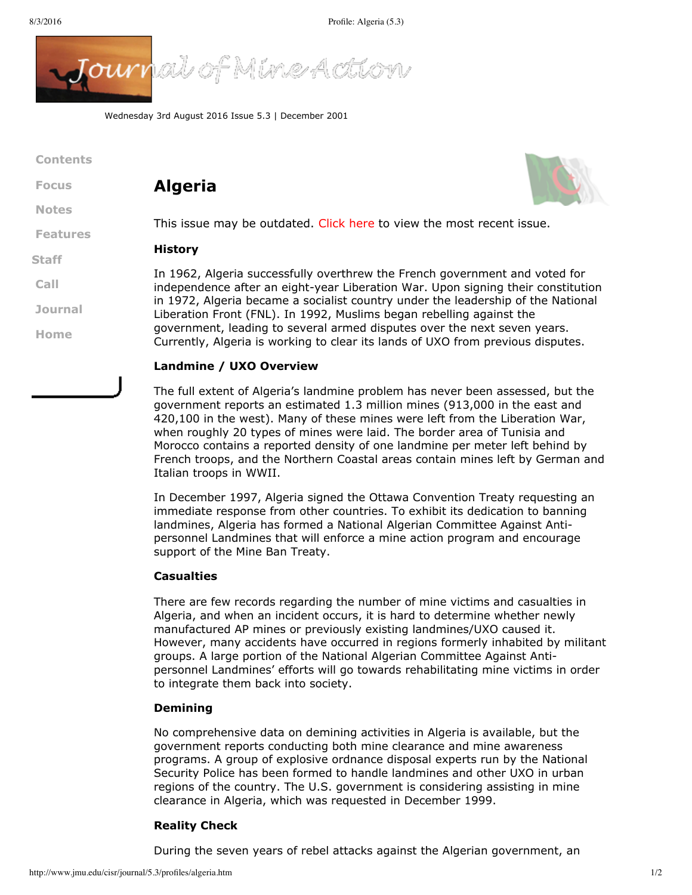

Wednesday 3rd August 2016 Issue 5.3 | December 2001

| <b>Contents</b> |                                                                                                                              |
|-----------------|------------------------------------------------------------------------------------------------------------------------------|
| <b>Focus</b>    | <b>Algeria</b>                                                                                                               |
| <b>Notes</b>    | This issue may be                                                                                                            |
| <b>Features</b> | History                                                                                                                      |
| <b>Staff</b>    |                                                                                                                              |
| Call            | In 1962, Algeria s<br>independence aft<br>in 1972, Algeria b<br>Liberation Front (<br>government, lead<br>Currently, Algeria |
| <b>Journal</b>  |                                                                                                                              |
| Home            |                                                                                                                              |
|                 |                                                                                                                              |



e outdated. [Click](http://www.jmu.edu/cisr/journal/current.shtml) here to view the most recent issue.

successfully overthrew the French government and voted for er an eight-year Liberation War. Upon signing their constitution ecame a socialist country under the leadership of the National FNL). In 1992, Muslims began rebelling against the ling to several armed disputes over the next seven years. is working to clear its lands of UXO from previous disputes.

# **Landmine / UXO Overview**

The full extent of Algeria's landmine problem has never been assessed, but the government reports an estimated 1.3 million mines (913,000 in the east and 420,100 in the west). Many of these mines were left from the Liberation War, when roughly 20 types of mines were laid. The border area of Tunisia and Morocco contains a reported density of one landmine per meter left behind by French troops, and the Northern Coastal areas contain mines left by German and Italian troops in WWII.

In December 1997, Algeria signed the Ottawa Convention Treaty requesting an immediate response from other countries. To exhibit its dedication to banning landmines, Algeria has formed a National Algerian Committee Against Antipersonnel Landmines that will enforce a mine action program and encourage support of the Mine Ban Treaty.

#### **Casualties**

There are few records regarding the number of mine victims and casualties in Algeria, and when an incident occurs, it is hard to determine whether newly manufactured AP mines or previously existing landmines/UXO caused it. However, many accidents have occurred in regions formerly inhabited by militant groups. A large portion of the National Algerian Committee Against Antipersonnel Landmines' efforts will go towards rehabilitating mine victims in order to integrate them back into society.

## **Demining**

No comprehensive data on demining activities in Algeria is available, but the government reports conducting both mine clearance and mine awareness programs. A group of explosive ordnance disposal experts run by the National Security Police has been formed to handle landmines and other UXO in urban regions of the country. The U.S. government is considering assisting in mine clearance in Algeria, which was requested in December 1999.

## **Reality Check**

During the seven years of rebel attacks against the Algerian government, an